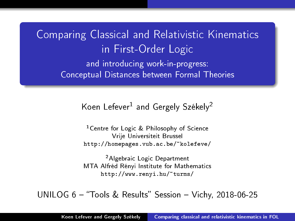<span id="page-0-0"></span>Comparing Classical and Relativistic Kinematics in First-Order Logic and introducing work-in-progress: Conceptual Distances between Formal Theories

Koen Lefever<sup>1</sup> and Gergely Székely<sup>2</sup>

<sup>1</sup>Centre for Logic & Philosophy of Science Vrije Universiteit Brussel <http://homepages.vub.ac.be/~kolefeve/>

<sup>2</sup>Algebraic Logic Department MTA Alfréd Rényi Institute for Mathematics <http://www.renyi.hu/~turms/>

 $UNILOG 6 - "Tools & Results" Session - Vichy, 2018-06-25$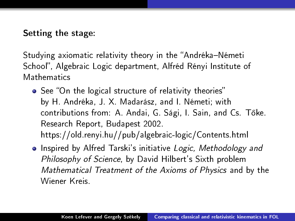Setting the stage:

Studying axiomatic relativity theory in the "Andréka-Németi School, Algebraic Logic department, Alfréd Rényi Institute of Mathematics

- See "On the logical structure of relativity theories" by H. Andréka, J. X. Madarász, and I. Németi; with contributions from: A. Andai, G. Sági, I. Sain, and Cs. T®ke. Research Report, Budapest 2002. https://old.renyi.hu//pub/algebraic-logic/Contents.html
- **•** Inspired by Alfred Tarski's initiative Logic, Methodology and Philosophy of Science, by David Hilbert's Sixth problem Mathematical Treatment of the Axioms of Physics and by the Wiener Kreis.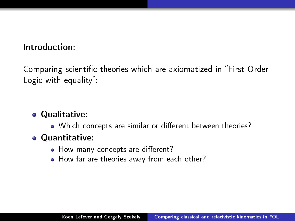### Introduction:

Comparing scientific theories which are axiomatized in "First Order Logic with equality":

# **• Qualitative:**

• Which concepts are similar or different between theories?

## Quantitative:

- How many concepts are different?
- How far are theories away from each other?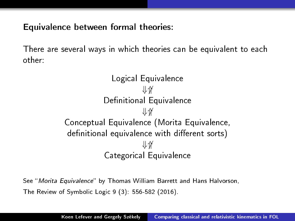Equivalence between formal theories:

There are several ways in which theories can be equivalent to each other:

> Logical Equivalence ⇓⇑ Definitional Equivalence ⇓⇑ Conceptual Equivalence (Morita Equivalence, definitional equivalence with different sorts) ⇓⇑ Categorical Equivalence

See "Morita Equivalence" by Thomas William Barrett and Hans Halvorson, The Review of Symbolic Logic 9 (3): 556-582 (2016).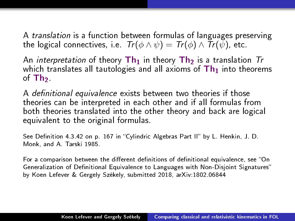A translation is a function between formulas of languages preserving the logical connectives, i.e.  $Tr(\phi \wedge \psi) = Tr(\phi) \wedge Tr(\bar{\psi})$ , etc.

An *interpretation* of theory  $\text{Th}_1$  in theory  $\text{Th}_2$  is a translation  $\text{Tr}$ which translates all tautologies and all axioms of  $Th<sub>1</sub>$  into theorems of  $Th<sub>2</sub>$ .

A definitional equivalence exists between two theories if those theories can be interpreted in each other and if all formulas from both theories translated into the other theory and back are logical equivalent to the original formulas.

See Definition 4.3.42 on p. 167 in "Cylindric Algebras Part II" by L. Henkin, J. D. Monk, and A. Tarski 1985.

For a comparison between the different definitions of definitional equivalence, see "On Generalization of Definitional Equivalence to Languages with Non-Disjoint Signatures" by Koen Lefever & Gergely Székely, submitted 2018, arXiv:1802.06844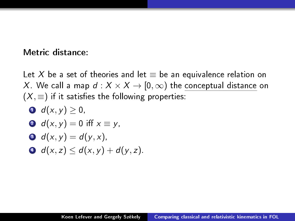### Metric distance:

Let X be a set of theories and let  $\equiv$  be an equivalence relation on X. We call a map  $d: X \times X \rightarrow [0, \infty)$  the conceptual distance on  $(X, \equiv)$  if it satisfies the following properties:

 $d(x, y) > 0$ ,  $d(x, y) = 0$  iff  $x \equiv y$ , 3  $d(x, y) = d(y, x)$ ,  $\bullet$  d(x, z) < d(x, y) + d(y, z).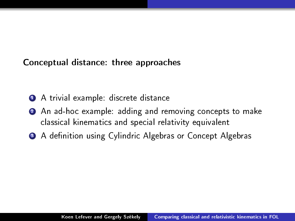### Conceptual distance: three approaches

- **4** A trivial example: discrete distance
- 2 An ad-hoc example: adding and removing concepts to make classical kinematics and special relativity equivalent
- <sup>3</sup> A definition using Cylindric Algebras or Concept Algebras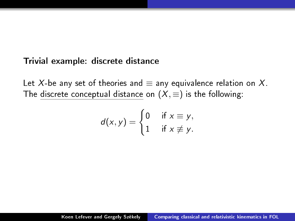#### Trivial example: discrete distance

Let X-be any set of theories and  $\equiv$  any equivalence relation on X. The discrete conceptual distance on  $(X, \equiv)$  is the following:

$$
d(x,y) = \begin{cases} 0 & \text{if } x \equiv y, \\ 1 & \text{if } x \not\equiv y. \end{cases}
$$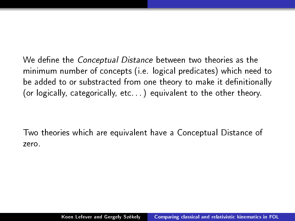We define the *Conceptual Distance* between two theories as the minimum number of concepts (i.e. logical predicates) which need to be added to or substracted from one theory to make it definitionally (or logically, categorically, etc...) equivalent to the other theory.

Two theories which are equivalent have a Conceptual Distance of zero.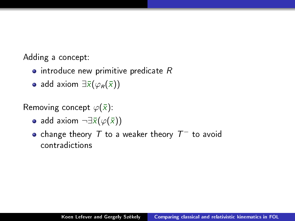Adding a concept:

- $\bullet$  introduce new primitive predicate R
- add axiom  $\exists \bar{x}(\varphi_R(\bar{x}))$

Removing concept  $\varphi(\bar{x})$ :

- add axiom  $\neg \exists \bar{x}(\varphi(\bar{x}))$
- change theory  $\mathcal T$  to a weaker theory  $\mathcal T^-$  to avoid contradictions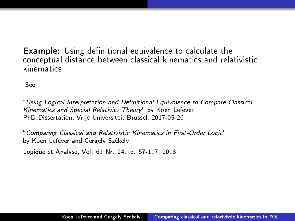**Example:** Using definitional equivalence to calculate the conceptual distance between classical kinematics and relativistic kinematics

See:

"Using Logical Interpretation and Definitional Equivalence to Compare Classical Kinematics and Special Relativity Theory" by Koen Lefever PhD Dissertation, Vrije Universiteit Brussel, 2017-05-26

Comparing Classical and Relativistic Kinematics in First-Order Logic by Koen Lefever and Gergely Székely

Logique et Analyse, Vol. 61 Nr. 241 p. 57-117, 2018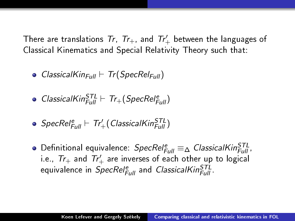There are translations  $\mathcal{T}r, \,\, \mathcal{T}r_+$ , and  $\mathcal{T}r_+'$  between the languages of Classical Kinematics and Special Relativity Theory such that:

- ClassicalKin<sub>Full</sub>  $\vdash$  Tr(SpecRel<sub>Full</sub>)
- $ClassicalKin_{Full}^{STL} \vdash Tr_{+}(SpecRel_{Full}^{e})$

• 
$$
SpecRel_{Full}^e \vdash Tr'_{+}(ClassicalKin_{Full}^{STL})
$$

Definitional equivalence:  $SpecRel_{Full}^e \equiv_\Delta \textit{ClassicalKin}_{Full}^{STL}$  , i.e.,  $Tr_+$  and  $Tr_+'$  are inverses of each other up to logical equivalence in *SpecRel* $_{Full}^e$  and *ClassicalKin* $_{Full}^{STL}$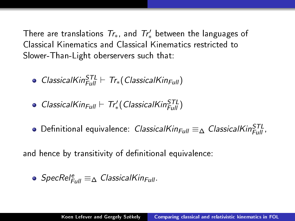There are translations  $Tr_\ast$ , and  $Tr'_\ast$  between the languages of Classical Kinematics and Classical Kinematics restricted to Slower-Than-Light oberservers such that:

- $ClassicalKin_{Full}^{STL} \vdash Tr_*(ClassicalKin_{Full})$
- $\textit{Classical}$ Kin<sub>Full</sub>  $\vdash$  Tr'<sub>\*</sub> (ClassicalKin $_{\textit{Full}}^{\textit{STL}}$ )
- Definitional equivalence: *ClassicalKin<sub>Full</sub>* ≡∆ *ClassicalKin* $_{Full}^{STL}$

and hence by transitivity of definitional equivalence:

• 
$$
SpecRel_{Full}^e \equiv_{\Delta} ClassicalKin_{Full}
$$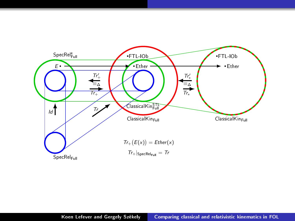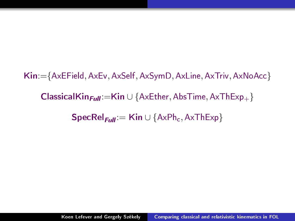Kin:={AxEField, AxEv, AxSelf, AxSymD, AxLine, AxTriv, AxNoAcc} ClassicalKin $_{Full}:=$ Kin ∪ {AxEther, AbsTime, AxThExp<sub>+</sub>}  $\textsf{SpecRel}_{\text{Full}} := \textsf{Kin} \cup \{\text{AxPh}_c, \text{AxThExp}\}\$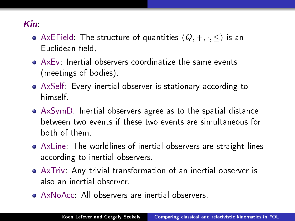## Kin:

- AxEField: The structure of quantities  $\langle Q, +, \cdot, \leq \rangle$  is an Euclidean field,
- AxEv: Inertial observers coordinatize the same events (meetings of bodies).
- AxSelf: Every inertial observer is stationary according to himself.
- AxSymD: Inertial observers agree as to the spatial distance between two events if these two events are simultaneous for both of them.
- AxLine: The worldlines of inertial observers are straight lines according to inertial observers.
- AxTriv: Any trivial transformation of an inertial observer is also an inertial observer.
- AxNoAcc: All observers are inertial observers.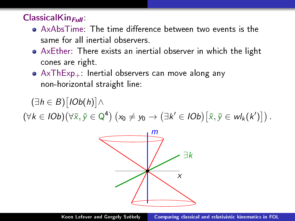### $ClassicalKin<sub>Full</sub>$

- AxAbsTime: The time difference between two events is the same for all inertial observers.
- AxEther: There exists an inertial observer in which the light cones are right.
- $\bullet$  AxThExp<sub>+</sub>: Inertial observers can move along any non-horizontal straight line:

 $(\exists h \in B) [1Ob(h)] \wedge$ 

 $(\forall k \in IOb)(\forall \bar{x}, \bar{y} \in \mathbb{Q}^4)$   $(x_0 \neq y_0 \rightarrow (\exists k' \in IOb)[\bar{x}, \bar{y} \in wI_k(k')]$ .

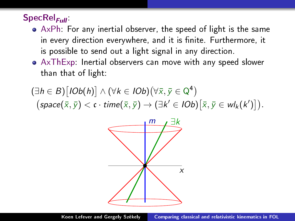# $\mathsf{SpecRel}_{\mathsf{Full}}$

- AxPh: For any inertial observer, the speed of light is the same in every direction everywhere, and it is finite. Furthermore, it is possible to send out a light signal in any direction.
- AxThExp: Inertial observers can move with any speed slower than that of light:

 $(\exists h \in B) [IOb(h)] \wedge (\forall k \in IOb)(\forall \bar{x}, \bar{y} \in Q^4)$  $\big(\textit{space}(\bar{x}, \bar{y}) < c \cdot \textit{time}(\bar{x}, \bar{y}) \rightarrow (\exists k' \in \textit{IOb})[\bar{x}, \bar{y} \in \textit{wl}_k(k')]\big).$ 

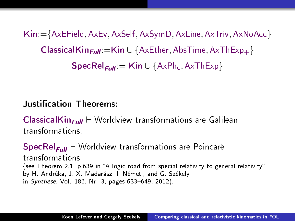Kin:={AxEField, AxEv, AxSelf, AxSymD, AxLine, AxTriv, AxNoAcc} ClassicalKin $_{Full}$ :=Kin ∪ {AxEther, AbsTime, AxThExp<sub>+</sub> }  $\mathsf{SpecRel}_{\mathsf{Full}} = \mathsf{Kin} \cup \{\mathsf{AxPh}_c, \mathsf{AxThExp}\}\$ 

### Justication Theorems:

**ClassicalKin<sub>Full</sub>**  $\vdash$  Worldview transformations are Galilean transformations.

 $\mathsf{SpecRel}_{\mathsf{Full}} \vdash \mathsf{Worldview}$  transformations are Poincaré transformations (see Theorem 2.1, p.639 in "A logic road from special relativity to general relativity" by H. Andréka, J. X. Madarász, I. Németi, and G. Székely, in Synthese, Vol. 186, Nr. 3, pages 633–649, 2012).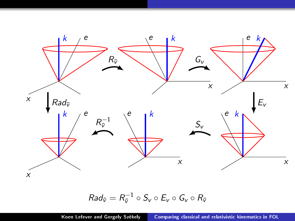

$$
Rad_{\overline{v}} = R_{\overline{v}}^{-1} \circ S_v \circ E_v \circ G_v \circ R_{\overline{v}}
$$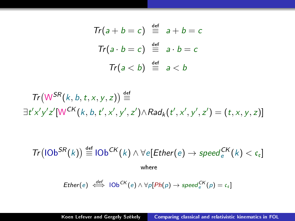$$
Tr(a + b = c) \stackrel{\text{def}}{=} a + b = c
$$
\n
$$
Tr(a \cdot b = c) \stackrel{\text{def}}{=} a \cdot b = c
$$
\n
$$
Tr(a < b) \stackrel{\text{def}}{=} a < b
$$

$$
Tr(W^{SR}(k, b, t, x, y, z)) \stackrel{\text{def}}{=} \\ \exists t'x'y'z'[W^{CK}(k, b, t', x', y', z') \land Rad_k(t', x', y', z') = (t, x, y, z)]
$$

$$
\mathsf{Tr}(\mathsf{IOb}^{SR}(k)) \stackrel{\text{def}}{=} \mathsf{IOb}^{CK}(k) \land \forall e[\mathsf{Ether}(e) \to \mathsf{speed}_{e}^{CK}(k) < c_e]
$$
\nwhere

$$
Ether(e) \stackrel{def}{\iff} 10b^{CK}(e) \wedge \forall p[Ph(p) \rightarrow speed^{CK}_e(p) = c_e]
$$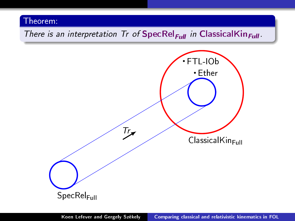# There is an interpretation Tr of SpecRel<sub>Full</sub> in ClassicalKin<sub>Full</sub>.

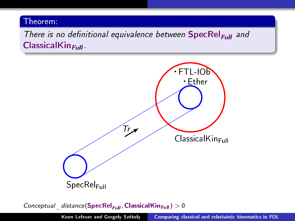There is no definitional equivalence between  $\mathsf{SpecRel}_{\mathsf{Full}}$  and  $ClassicalKin<sub>Full</sub>$ .



Conceptual distance(SpecRel<sub>Full</sub>, ClassicalKin<sub>Full</sub>)  $> 0$ 

Koen Lefever and Gergely Székely | [Comparing classical and relativistic kinematics in FOL](#page-0-0)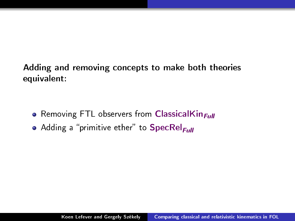Adding and removing concepts to make both theories equivalent:

- **•** Removing FTL observers from ClassicalKin $_{Full}$
- Adding a "primitive ether" to SpecRel<sub>Full</sub>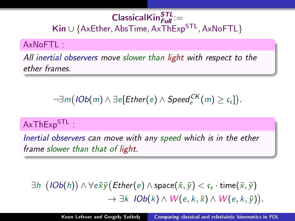# $\mathsf{ClassicalKin}^{\textbf{STL}}_{\textit{Full}}$ := Kin ∪ {AxEther, AbsTime, AxThExp<sup>STL</sup>, AxNoFTL}

### AxNoFTL :

All inertial observers move slower than light with respect to the ether frames.

 $\neg \exists m ( \mathit{IOb(m)} \land \exists e[\mathit{Ether}(e) \land \mathit{Speed}^{CK}_e(m) \geq \mathfrak{c}_e]).$ 

# AxThExp<sup>STL</sup>:

Inertial observers can move with any speed which is in the ether frame slower than that of light.

 $\exists h\ \left( \textit{IOb}(h) \right) \wedge \forall e \bar{\mathsf{x}} \bar{\mathsf{y}} \big( \textit{Ether}(e) \wedge \textsf{space}(\bar{\mathsf{x}},\bar{\mathsf{y}}) < \mathfrak{c}_\mathfrak{e} \cdot \textsf{time}(\bar{\mathsf{x}},\bar{\mathsf{y}})$  $\rightarrow \exists k \; IOb(k) \wedge W(e,k,\bar{x}) \wedge W(e,k,\bar{y}).$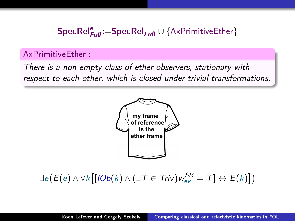# $\mathsf{SpecRel}_{\mathsf{Full}}^e\!\coloneqq\!\mathsf{SpecRel}_{\mathsf{Full}}\cup\{\mathsf{A}\mathsf{xPrimitiveEther}\}$

### AxPrimitiveEther :

There is a non-empty class of ether observers, stationary with respect to each other, which is closed under trivial transformations.



 $\exists e \big(E(e) \wedge \forall k \big[[\textit{IOb}(k) \wedge (\exists \, \mathcal{T} \in \mathit{Triv}) w_{ek}^{\mathcal{SR}} = \mathcal{T}] \leftrightarrow E(k)\big])$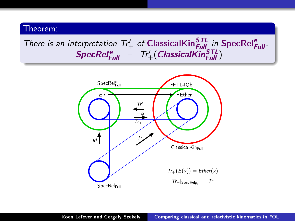# There is an interpretation  $Tr'_{+}$  of ClassicalKin ${}_{Full}^{STL}$  in SpecRel ${}_{Full}^{e}$ .  $\textit{SpecRel}_{\textit{Full}}^e \ \vdash \ \textit{Tr}'_+( \textit{ClassicalKin}_{\textit{Full}}^{\textit{STL}})$

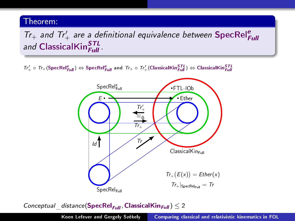# $Tr_+$  and  $Tr'_+$  are a definitional equivalence between SpecRel $_{\text{Full}}^e$ and ClassicalKin<sup>STL</sup>

 $\tau_{T+}' \circ \tau_{T+}(\mathsf{SpecRel}_{Full}^e) \Leftrightarrow \mathsf{SpecRel}_{Full}^e$  and  $\tau_{T+} \circ \tau_{T+}'(\mathsf{ClassicalKin}_{Full}^{STL}) \Leftrightarrow \mathsf{ClassicalKin}_{Full}^{STL}$ 



Conceptual distance(SpecRel<sub>Full</sub>, ClassicalKin<sub>Full</sub>)  $\leq 2$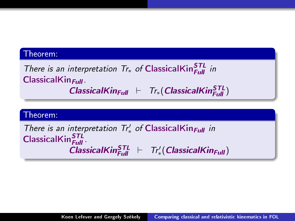There is an interpretation  $Tr_*$  of ClassicalKin $_{Full}^{STL}$  in  $Cl$ assicalKin $_{Full}$ .

 $\textit{Classical}$ Kin<sub>Full</sub>  $\vdash$  Tr<sub>\*</sub> (ClassicalKin $_{\textit{Full}}^{\textit{STL}}$ )

#### Theorem:

There is an interpretation  $Tr'_{*}$  of ClassicalKin<sub>Full</sub> in  $\mathsf{ClassicalKin}^{\textbf{\textit{STL}}}_{\textit{Full}}$  $\overline{C}$  Classical Kin  $_{Full}^{\text{STL}}$   $\vdash$   $Tr'_{*}($  Classical Kin  $_{Full}$ )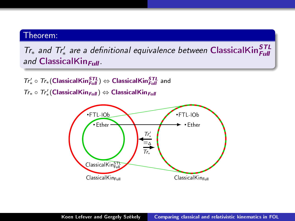$Tr_*$  and  $Tr'_*$  are a definitional equivalence between ClassicalKin $_{Full}^{STL}$ and ClassicalKin $_{\text{Full}}$ .

 $\mathcal{T}r'_* \circ \mathcal{T}r_*( \textsf{ClassicalKin}^{\textsf{STL}}_{Full} ) \Leftrightarrow \textsf{ClassicalKin}^{\textsf{STL}}_{Full}$  and  $Tr_* \circ Tr'_*$ (ClassicalKin $_{Full}$ ) ⇔ ClassicalKin $_{Full}$ 

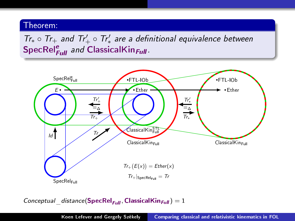$Tr_* \circ Tr_+$  and  $Tr'_+ \circ Tr'_*$  are a definitional equivalence between SpecRel<sup>e</sup> and ClassicalKin<sub>Full</sub>.



Conceptual distance(SpecRel<sub>Full</sub>, ClassicalKin<sub>Full</sub>) = 1

Koen Lefever and Gergely Székely [Comparing classical and relativistic kinematics in FOL](#page-0-0)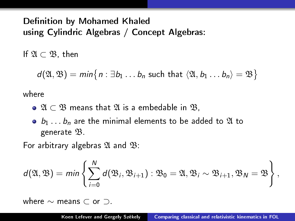## Definition by Mohamed Khaled using Cylindric Algebras / Concept Algebras:

If  $\mathfrak{A} \subset \mathfrak{B}$ , then

 $d(\mathfrak{A}, \mathfrak{B}) = min\big\{n : \exists b_1 \ldots b_n \text{ such that } \langle \mathfrak{A}, b_1 \ldots b_n \rangle = \mathfrak{B}\big\}$ 

where

- $\bullet$  21  $\subset$  23 means that 21 is a embedable in  $\mathfrak{B}$ ,
- $\bullet$   $b_1 \ldots b_n$  are the minimal elements to be added to  $\mathfrak A$  to generate B.

For arbitrary algebras  $\mathfrak A$  and  $\mathfrak B$ .

$$
d(\mathfrak{A}, \mathfrak{B}) = min \left\{ \sum_{i=0}^N d(\mathfrak{B}_i, \mathfrak{B}_{i+1}) : \mathfrak{B}_0 = \mathfrak{A}, \mathfrak{B}_i \sim \mathfrak{B}_{i+1}, \mathfrak{B}_N = \mathfrak{B} \right\},
$$

where ∼ means ⊂ or ⊃.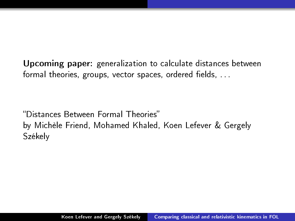Upcoming paper: generalization to calculate distances between formal theories, groups, vector spaces, ordered fields,  $\dots$ 

Distances Between Formal Theories by Michèle Friend, Mohamed Khaled, Koen Lefever & Gergely Székely